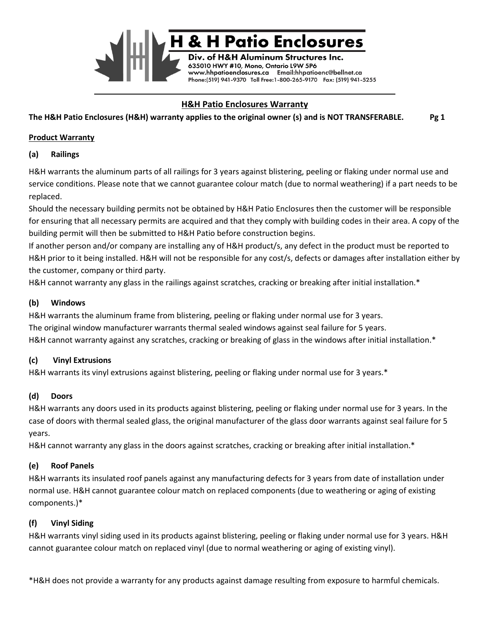

# **H&H Patio Enclosures Warranty**

**H&H Aluminum Structures Inc.** Y #10, Mono, Ontario L9W 5P6 www.hhpatioenclosures.ca Email:hhpatioenc@bellnet.ca Phone:(519) 941-9370 Toll Free:1-800-265-9170 Fax: (519) 941-5255

**The H&H Patio Enclosures (H&H) warranty applies to the original owner (s) and is NOT TRANSFERABLE. Pg 1**

#### **Product Warranty**

#### **(a) Railings**

H&H warrants the aluminum parts of all railings for 3 years against blistering, peeling or flaking under normal use and service conditions. Please note that we cannot guarantee colour match (due to normal weathering) if a part needs to be replaced.

Should the necessary building permits not be obtained by H&H Patio Enclosures then the customer will be responsible for ensuring that all necessary permits are acquired and that they comply with building codes in their area. A copy of the building permit will then be submitted to H&H Patio before construction begins.

If another person and/or company are installing any of H&H product/s, any defect in the product must be reported to H&H prior to it being installed. H&H will not be responsible for any cost/s, defects or damages after installation either by the customer, company or third party.

H&H cannot warranty any glass in the railings against scratches, cracking or breaking after initial installation.\*

## **(b) Windows**

H&H warrants the aluminum frame from blistering, peeling or flaking under normal use for 3 years. The original window manufacturer warrants thermal sealed windows against seal failure for 5 years. H&H cannot warranty against any scratches, cracking or breaking of glass in the windows after initial installation.\*

## **(c) Vinyl Extrusions**

H&H warrants its vinyl extrusions against blistering, peeling or flaking under normal use for 3 years.\*

#### **(d) Doors**

H&H warrants any doors used in its products against blistering, peeling or flaking under normal use for 3 years. In the case of doors with thermal sealed glass, the original manufacturer of the glass door warrants against seal failure for 5 years.

H&H cannot warranty any glass in the doors against scratches, cracking or breaking after initial installation.\*

## **(e) Roof Panels**

H&H warrants its insulated roof panels against any manufacturing defects for 3 years from date of installation under normal use. H&H cannot guarantee colour match on replaced components (due to weathering or aging of existing components.)\*

## **(f) Vinyl Siding**

H&H warrants vinyl siding used in its products against blistering, peeling or flaking under normal use for 3 years. H&H cannot guarantee colour match on replaced vinyl (due to normal weathering or aging of existing vinyl).

\*H&H does not provide a warranty for any products against damage resulting from exposure to harmful chemicals.